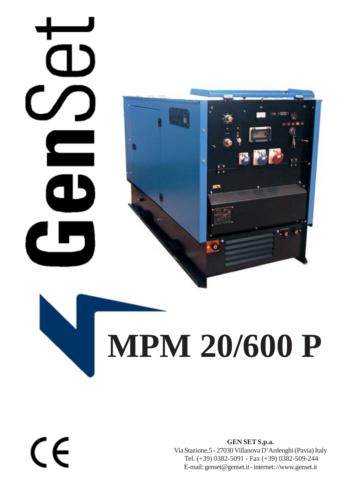## $\overline{\phantom{0}}$ ò E

## **MPM 20/600 P**

CE

**GEN SET S.p.a.** Via Stazione,5 - 27030 Villanova D'Ardenghi (Pavia) Italy Tel. (+39) 0382-5091 - Fax (+39) 0382-509-244 E-mail: genset@genset.it - internet: //www.genset.it